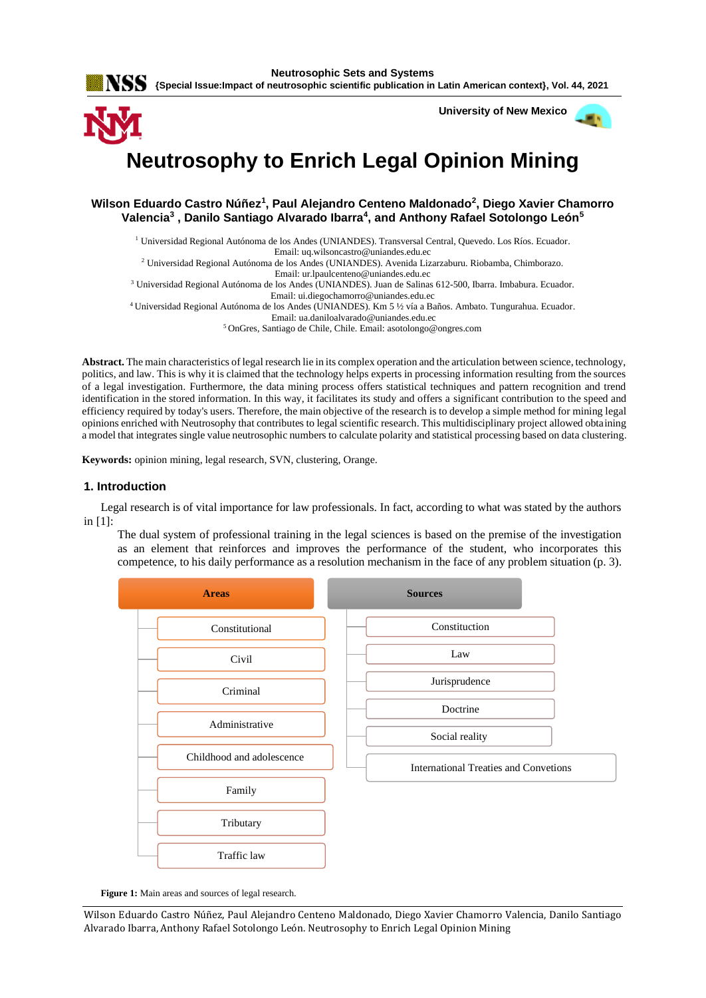**Neutrosophic Sets and Systems {Special Issue:Impact of neutrosophic scientific publication in Latin American context}, Vol. 44, 2021**

 **University of New Mexico**

画を

# **Neutrosophy to Enrich Legal Opinion Mining**

**Wilson Eduardo Castro Núñez<sup>1</sup> , Paul Alejandro Centeno Maldonado<sup>2</sup> , Diego Xavier Chamorro Valencia<sup>3</sup> , Danilo Santiago Alvarado Ibarra<sup>4</sup> , and Anthony Rafael Sotolongo León<sup>5</sup>**

<sup>1</sup> Universidad Regional Autónoma de los Andes (UNIANDES). Transversal Central, Quevedo. Los Ríos. Ecuador.

Email: [uq.wilsoncastro@uniandes.edu.ec](mailto:uq.wilsoncastro@uniandes.edu.ec)

<sup>2</sup> Universidad Regional Autónoma de los Andes (UNIANDES). Avenida Lizarzaburu. Riobamba, Chimborazo.

Email[: ur.lpaulcenteno@uniandes.edu.ec](mailto:ur.lpaulcenteno@uniandes.edu.ec)

<sup>3</sup> Universidad Regional Autónoma de los Andes (UNIANDES). Juan de Salinas 612-500, Ibarra. Imbabura. Ecuador.

Email: [ui.diegochamorro@uniandes.edu.ec](mailto:ui.diegochamorro@uniandes.edu.ec)

<sup>4</sup>Universidad Regional Autónoma de los Andes (UNIANDES). Km 5 ½ vía a Baños. Ambato. Tungurahua. Ecuador. Email[: ua.daniloalvarado@uniandes.edu.ec](mailto:ua.daniloalvarado@uniandes.edu.ec)

<sup>5</sup> OnGres, Santiago de Chile, Chile. Email: [asotolongo@ongres.com](mailto:asotolongo@ongres.com)

**Abstract.** The main characteristics of legal research lie in its complex operation and the articulation between science, technology, politics, and law. This is why it is claimed that the technology helps experts in processing information resulting from the sources of a legal investigation. Furthermore, the data mining process offers statistical techniques and pattern recognition and trend identification in the stored information. In this way, it facilitates its study and offers a significant contribution to the speed and efficiency required by today's users. Therefore, the main objective of the research is to develop a simple method for mining legal opinions enriched with Neutrosophy that contributes to legal scientific research. This multidisciplinary project allowed obtaining a model that integrates single value neutrosophic numbers to calculate polarity and statistical processing based on data clustering.

**Keywords:** opinion mining, legal research, SVN, clustering, Orange.

## **1. Introduction**

Legal research is of vital importance for law professionals. In fact, according to what was stated by the authors in [\[1\]](#page-6-0):

The dual system of professional training in the legal sciences is based on the premise of the investigation as an element that reinforces and improves the performance of the student, who incorporates this competence, to his daily performance as a resolution mechanism in the face of any problem situation (p. 3).



Figure 1: Main areas and sources of legal research.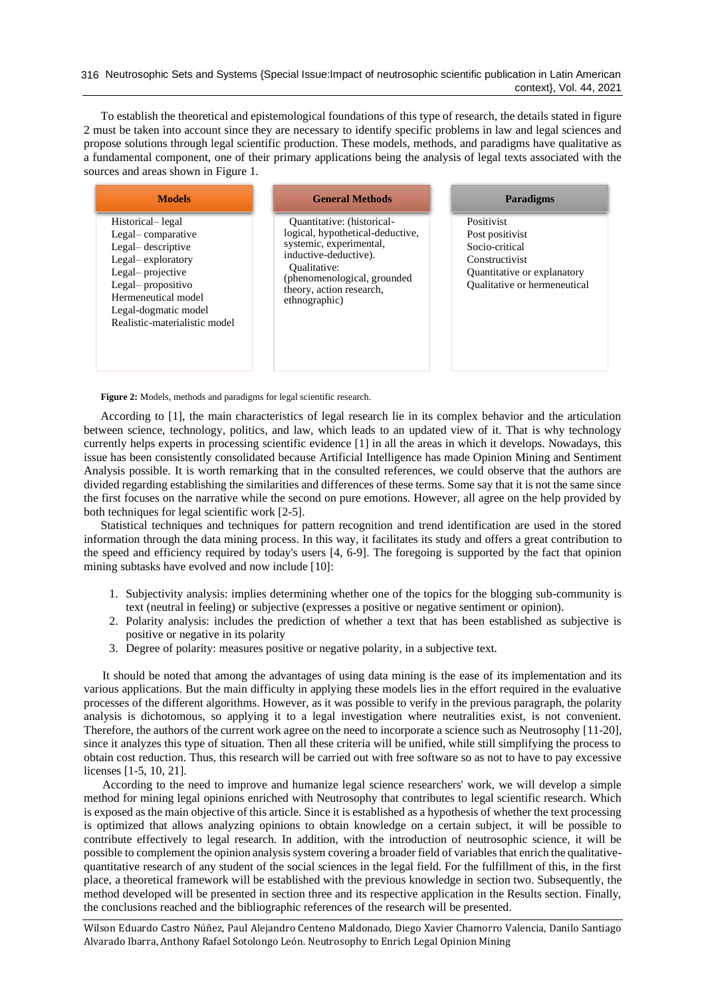To establish the theoretical and epistemological foundations of this type of research, the details stated in figure 2 must be taken into account since they are necessary to identify specific problems in law and legal sciences and propose solutions through legal scientific production. These models, methods, and paradigms have qualitative as a fundamental component, one of their primary applications being the analysis of legal texts associated with the sources and areas shown in Figure 1.

| <b>Models</b>                                                                                                                                                                                            | <b>General Methods</b>                                                                                                                                                                                                | <b>Paradigms</b>                                                                                                                 |
|----------------------------------------------------------------------------------------------------------------------------------------------------------------------------------------------------------|-----------------------------------------------------------------------------------------------------------------------------------------------------------------------------------------------------------------------|----------------------------------------------------------------------------------------------------------------------------------|
| Historical-legal<br>Legal-comparative<br>Legal-descriptive<br>Legal-exploratory<br>Legal-projective<br>Legal-propositivo<br>Hermeneutical model<br>Legal-dogmatic model<br>Realistic-materialistic model | <b>Ouantitative:</b> (historical-<br>logical, hypothetical-deductive,<br>systemic, experimental,<br>inductive-deductive).<br>Oualitative:<br>(phenomenological, grounded<br>theory, action research,<br>ethnographic) | Positivist<br>Post positivist<br>Socio-critical<br>Constructivist<br>Quantitative or explanatory<br>Qualitative or hermeneutical |

Figure 2: Models, methods and paradigms for legal scientific research.

According to [\[1\]](#page-6-0), the main characteristics of legal research lie in its complex behavior and the articulation between science, technology, politics, and law, which leads to an updated view of it. That is why technology currently helps experts in processing scientific evidence [\[1\]](#page-6-0) in all the areas in which it develops. Nowadays, this issue has been consistently consolidated because Artificial Intelligence has made Opinion Mining and Sentiment Analysis possible. It is worth remarking that in the consulted references, we could observe that the authors are divided regarding establishing the similarities and differences of these terms. Some say that it is not the same since the first focuses on the narrative while the second on pure emotions. However, all agree on the help provided by both techniques for legal scientific work [\[2-5\]](#page-6-1).

Statistical techniques and techniques for pattern recognition and trend identification are used in the stored information through the data mining process. In this way, it facilitates its study and offers a great contribution to the speed and efficiency required by today's users [\[4,](#page-7-0) [6-9\]](#page-7-1). The foregoing is supported by the fact that opinion mining subtasks have evolved and now include [\[10\]](#page-7-2):

- 1. Subjectivity analysis: implies determining whether one of the topics for the blogging sub-community is text (neutral in feeling) or subjective (expresses a positive or negative sentiment or opinion).
- 2. Polarity analysis: includes the prediction of whether a text that has been established as subjective is positive or negative in its polarity
- 3. Degree of polarity: measures positive or negative polarity, in a subjective text.

It should be noted that among the advantages of using data mining is the ease of its implementation and its various applications. But the main difficulty in applying these models lies in the effort required in the evaluative processes of the different algorithms. However, as it was possible to verify in the previous paragraph, the polarity analysis is dichotomous, so applying it to a legal investigation where neutralities exist, is not convenient. Therefore, the authors of the current work agree on the need to incorporate a science such as Neutrosophy [\[11-20\]](#page-7-3), since it analyzes this type of situation. Then all these criteria will be unified, while still simplifying the process to obtain cost reduction. Thus, this research will be carried out with free software so as not to have to pay excessive licenses [\[1-5,](#page-6-0) [10,](#page-7-2) [21\]](#page-7-4).

According to the need to improve and humanize legal science researchers' work, we will develop a simple method for mining legal opinions enriched with Neutrosophy that contributes to legal scientific research. Which is exposed as the main objective of this article. Since it is established as a hypothesis of whether the text processing is optimized that allows analyzing opinions to obtain knowledge on a certain subject, it will be possible to contribute effectively to legal research. In addition, with the introduction of neutrosophic science, it will be possible to complement the opinion analysis system covering a broader field of variables that enrich the qualitativequantitative research of any student of the social sciences in the legal field. For the fulfillment of this, in the first place, a theoretical framework will be established with the previous knowledge in section two. Subsequently, the method developed will be presented in section three and its respective application in the Results section. Finally, the conclusions reached and the bibliographic references of the research will be presented.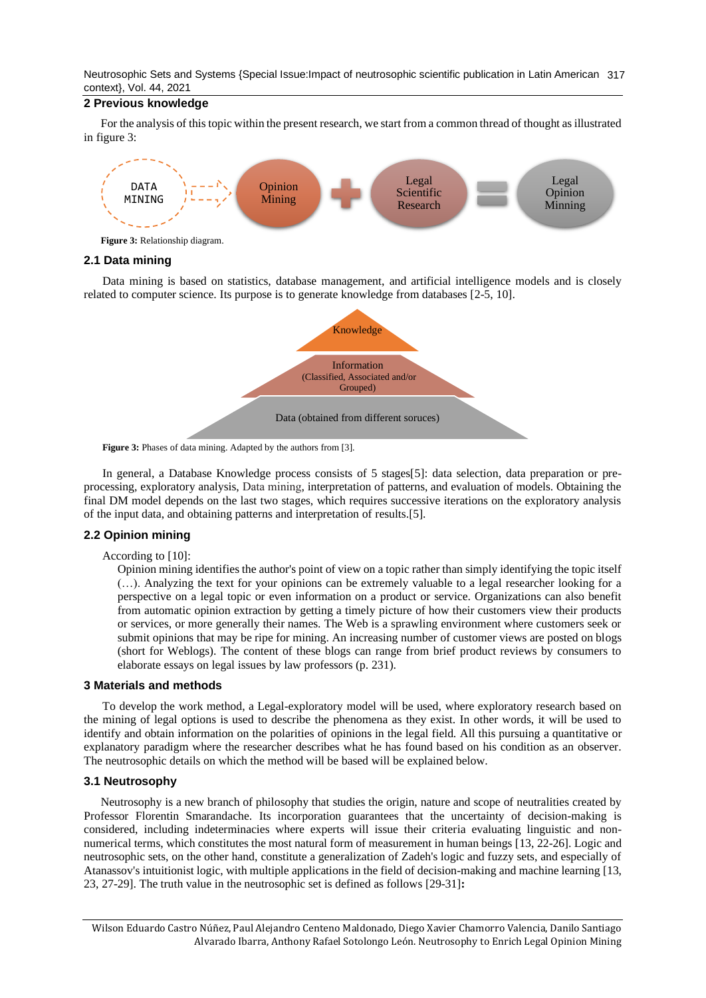Neutrosophic Sets and Systems {Special Issue:Impact of neutrosophic scientific publication in Latin American 317 context}, Vol. 44, 2021

## **2 Previous knowledge**

For the analysis of this topic within the present research, we start from a common thread of thought as illustrated in figure 3:



# **2.1 Data mining**

Data mining is based on statistics, database management, and artificial intelligence models and is closely related to computer science. Its purpose is to generate knowledge from databases [\[2-5,](#page-6-1) [10\]](#page-7-2).



Figure 3: Phases of data mining. Adapted by the authors from [\[3\]](#page-6-2).

In general, a Database Knowledge process consists of 5 stages[\[5\]](#page-7-5): data selection, data preparation or preprocessing, exploratory analysis, Data mining, interpretation of patterns, and evaluation of models. Obtaining the final DM model depends on the last two stages, which requires successive iterations on the exploratory analysis of the input data, and obtaining patterns and interpretation of results.[\[5\]](#page-7-5).

# **2.2 Opinion mining**

According to [\[10\]](#page-7-2):

Opinion mining identifies the author's point of view on a topic rather than simply identifying the topic itself (…). Analyzing the text for your opinions can be extremely valuable to a legal researcher looking for a perspective on a legal topic or even information on a product or service. Organizations can also benefit from automatic opinion extraction by getting a timely picture of how their customers view their products or services, or more generally their names. The Web is a sprawling environment where customers seek or submit opinions that may be ripe for mining. An increasing number of customer views are posted on blogs (short for Weblogs). The content of these blogs can range from brief product reviews by consumers to elaborate essays on legal issues by law professors (p. 231).

## **3 Materials and methods**

To develop the work method, a Legal-exploratory model will be used, where exploratory research based on the mining of legal options is used to describe the phenomena as they exist. In other words, it will be used to identify and obtain information on the polarities of opinions in the legal field. All this pursuing a quantitative or explanatory paradigm where the researcher describes what he has found based on his condition as an observer. The neutrosophic details on which the method will be based will be explained below.

## **3.1 Neutrosophy**

Neutrosophy is a new branch of philosophy that studies the origin, nature and scope of neutralities created by Professor Florentin Smarandache. Its incorporation guarantees that the uncertainty of decision-making is considered, including indeterminacies where experts will issue their criteria evaluating linguistic and nonnumerical terms, which constitutes the most natural form of measurement in human beings [\[13,](#page-7-6) [22-26\]](#page-7-7). Logic and neutrosophic sets, on the other hand, constitute a generalization of Zadeh's logic and fuzzy sets, and especially of Atanassov's intuitionist logic, with multiple applications in the field of decision-making and machine learning [\[13,](#page-7-6) [23,](#page-7-8) [27-29\]](#page-7-9). The truth value in the neutrosophic set is defined as follows [\[29-31\]](#page-7-10)**:**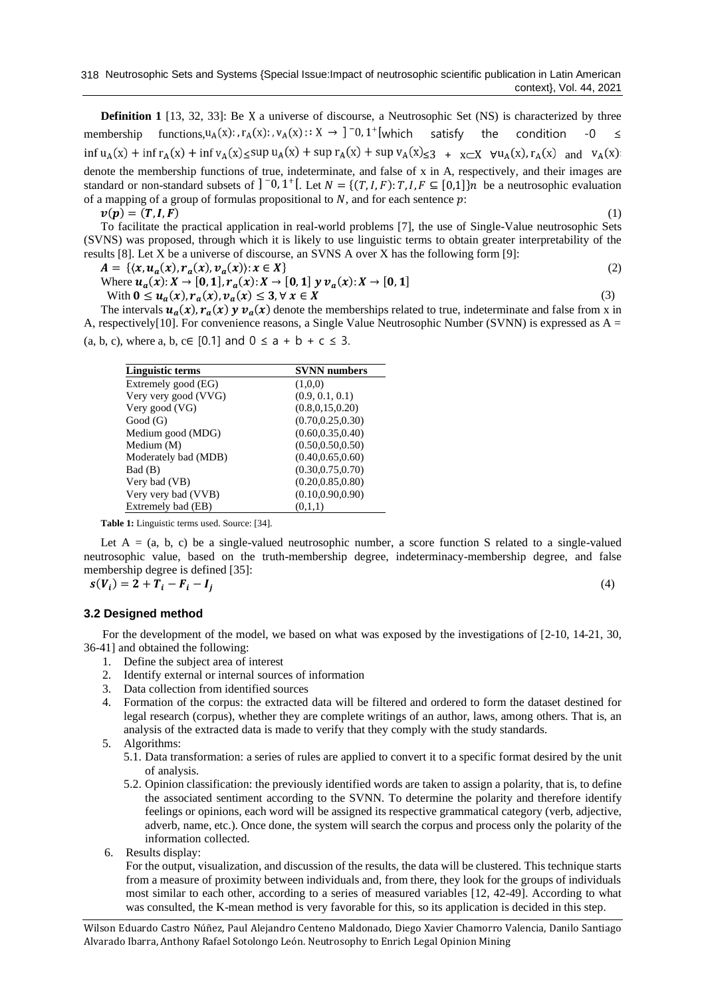**Definition 1** [\[13,](#page-7-6) [32,](#page-7-11) [33\]](#page-7-12): Be X a universe of discourse, a Neutrosophic Set (NS) is characterized by three membership functions,  $u_A(x)$ :  $r_A(x)$ :  $v_A(x)$ :  $X \rightarrow$  ] -0, 1<sup>+</sup>[which satisfy the condition -0  $\le$  $\inf u_A(x) + \inf r_A(x) + \inf v_A(x) \le \sup u_A(x) + \sup r_A(x) + \sup v_A(x) \le 3 + \sup x \le X$   $\forall u_A(x), r_A(x)$  and  $v_A(x)$ : denote the membership functions of true, indeterminate, and false of x in A, respectively, and their images are standard or non-standard subsets of  $]$ <sup>-0</sup>, 1<sup>+</sup>[. Let  $N = \{(T, I, F): T, I, F \subseteq [0,1]\}$ *n* be a neutrosophic evaluation of a mapping of a group of formulas propositional to  $N$ , and for each sentence  $p$ :  $v(p) = (T, I, F)$  (1)

To facilitate the practical application in real-world problems [7], the use of Single-Value neutrosophic Sets (SVNS) was proposed, through which it is likely to use linguistic terms to obtain greater interpretability of the results [8]. Let X be a universe of discourse, an SVNS A over X has the following form [9]:

 $A = \{ (x, u_a(x), r_a(x), v_a(x)) : x \in X \}$  (2)

Where 
$$
u_a(x): X \to [0,1], r_a(x): X \to [0,1]
$$
  $y v_a(x): X \to [0,1]$    
\nWith  $0 \le u_a(x), r_a(x), v_a(x) \le 3, \forall x \in X$  (3)

The intervals  $u_a(x)$ ,  $r_a(x)$   $y v_a(x)$  denote the memberships related to true, indeterminate and false from x in A, respectively[10]. For convenience reasons, a Single Value Neutrosophic Number (SVNN) is expressed as A = (a, b, c), where a, b, c $\in$  [0.1] and  $0 \le a + b + c \le 3$ .

| Linguistic terms     | <b>SVNN</b> numbers |  |
|----------------------|---------------------|--|
| Extremely good (EG)  | (1,0,0)             |  |
| Very very good (VVG) | (0.9, 0.1, 0.1)     |  |
| Very good (VG)       | (0.8, 0.15, 0.20)   |  |
| Good(G)              | (0.70, 0.25, 0.30)  |  |
| Medium good (MDG)    | (0.60, 0.35, 0.40)  |  |
| Medium (M)           | (0.50, 0.50, 0.50)  |  |
| Moderately bad (MDB) | (0.40, 0.65, 0.60)  |  |
| Bad (B)              | (0.30, 0.75, 0.70)  |  |
| Very bad (VB)        | (0.20, 0.85, 0.80)  |  |
| Very very bad (VVB)  | (0.10, 0.90, 0.90)  |  |
| Extremely bad (EB)   | (0,1,1)             |  |

**Table 1:** Linguistic terms used. Source: [\[34\].](#page-8-0)

Let  $A = (a, b, c)$  be a single-valued neutrosophic number, a score function S related to a single-valued neutrosophic value, based on the truth-membership degree, indeterminacy-membership degree, and false membership degree is defined [\[35\]](#page-8-1):

$$
s(V_i) = 2 + T_i - F_i - I_j
$$

(4)

## **3.2 Designed method**

For the development of the model, we based on what was exposed by the investigations of [\[2-10,](#page-6-1) [14-21,](#page-7-13) [30,](#page-7-14) [36-41\]](#page-8-2) and obtained the following:

- 1. Define the subject area of interest
- 2. Identify external or internal sources of information
- 3. Data collection from identified sources
- 4. Formation of the corpus: the extracted data will be filtered and ordered to form the dataset destined for legal research (corpus), whether they are complete writings of an author, laws, among others. That is, an analysis of the extracted data is made to verify that they comply with the study standards.
- 5. Algorithms:
	- 5.1. Data transformation: a series of rules are applied to convert it to a specific format desired by the unit of analysis.
	- 5.2. Opinion classification: the previously identified words are taken to assign a polarity, that is, to define the associated sentiment according to the SVNN. To determine the polarity and therefore identify feelings or opinions, each word will be assigned its respective grammatical category (verb, adjective, adverb, name, etc.). Once done, the system will search the corpus and process only the polarity of the information collected.
- 6. Results display:

For the output, visualization, and discussion of the results, the data will be clustered. This technique starts from a measure of proximity between individuals and, from there, they look for the groups of individuals most similar to each other, according to a series of measured variables [\[12,](#page-7-15) [42-49\]](#page-8-3). According to what was consulted, the K-mean method is very favorable for this, so its application is decided in this step.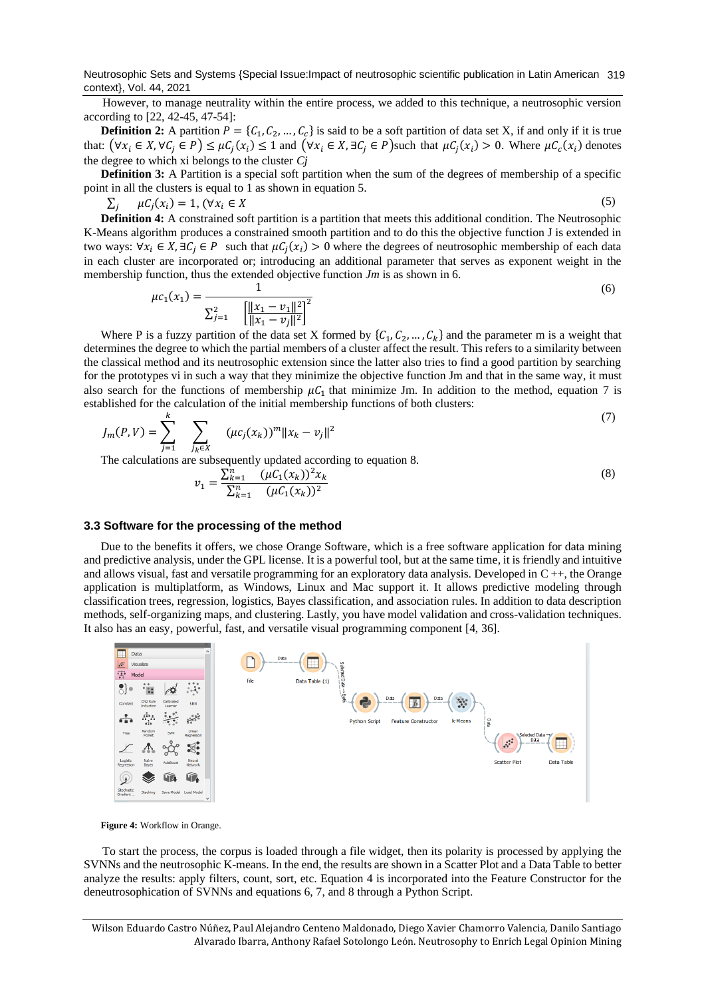Neutrosophic Sets and Systems {Special Issue:Impact of neutrosophic scientific publication in Latin American 319 context}, Vol. 44, 2021

However, to manage neutrality within the entire process, we added to this technique, a neutrosophic version according to [\[22,](#page-7-7) [42-45,](#page-8-3) [47-54\]](#page-8-4):

**Definition 2:** A partition  $P = \{C_1, C_2, ..., C_c\}$  is said to be a soft partition of data set X, if and only if it is true that:  $(\forall x_i \in X, \forall C_j \in P) \leq \mu C_j(x_i) \leq 1$  and  $(\forall x_i \in X, \exists C_j \in P)$ such that  $\mu C_j(x_i) > 0$ . Where  $\mu C_c(x_i)$  denotes the degree to which xi belongs to the cluster *Cj*

**Definition 3:** A Partition is a special soft partition when the sum of the degrees of membership of a specific point in all the clusters is equal to 1 as shown in equation 5.

 $\sum_j \mu C_j(x_i) = 1$ ,  $(\forall x_i \in X$  (5)

**Definition 4:** A constrained soft partition is a partition that meets this additional condition. The Neutrosophic K-Means algorithm produces a constrained smooth partition and to do this the objective function J is extended in two ways:  $\forall x_i \in X, \exists C_j \in P$  such that  $\mu C_j(x_i) > 0$  where the degrees of neutrosophic membership of each data in each cluster are incorporated or; introducing an additional parameter that serves as exponent weight in the membership function, thus the extended objective function *Jm* is as shown in 6.

$$
\mu c_1(x_1) = \frac{1}{\sum_{j=1}^2 \left[ \frac{\|x_1 - v_1\|^2}{\|x_1 - v_j\|^2} \right]^2}
$$
\n(6)

Where P is a fuzzy partition of the data set X formed by  $\{C_1, C_2, ..., C_k\}$  and the parameter m is a weight that determines the degree to which the partial members of a cluster affect the result. This refers to a similarity between the classical method and its neutrosophic extension since the latter also tries to find a good partition by searching for the prototypes vi in such a way that they minimize the objective function Jm and that in the same way, it must also search for the functions of membership  $\mu C_1$  that minimize Jm. In addition to the method, equation 7 is established for the calculation of the initial membership functions of both clusters:

$$
J_m(P,V) = \sum_{j=1}^k \sum_{j_k \in X} (\mu c_j(x_k))^m \|x_k - v_j\|^2
$$
 (7)

The calculations are subsequently updated according to equation 8.

$$
v_1 = \frac{\sum_{k=1}^{n} (\mu C_1(x_k))^2 x_k}{\sum_{k=1}^{n} (\mu C_1(x_k))^2}
$$
(8)

 $(7)$ 

#### **3.3 Software for the processing of the method**

Due to the benefits it offers, we chose Orange Software, which is a free software application for data mining and predictive analysis, under the GPL license. It is a powerful tool, but at the same time, it is friendly and intuitive and allows visual, fast and versatile programming for an exploratory data analysis. Developed in C ++, the Orange application is multiplatform, as Windows, Linux and Mac support it. It allows predictive modeling through classification trees, regression, logistics, Bayes classification, and association rules. In addition to data description methods, self-organizing maps, and clustering. Lastly, you have model validation and cross-validation techniques. It also has an easy, powerful, fast, and versatile visual programming component [\[4,](#page-7-0) [36\]](#page-8-2).



**Figure 4:** Workflow in Orange.

To start the process, the corpus is loaded through a file widget, then its polarity is processed by applying the SVNNs and the neutrosophic K-means. In the end, the results are shown in a Scatter Plot and a Data Table to better analyze the results: apply filters, count, sort, etc. Equation 4 is incorporated into the Feature Constructor for the deneutrosophication of SVNNs and equations 6, 7, and 8 through a Python Script.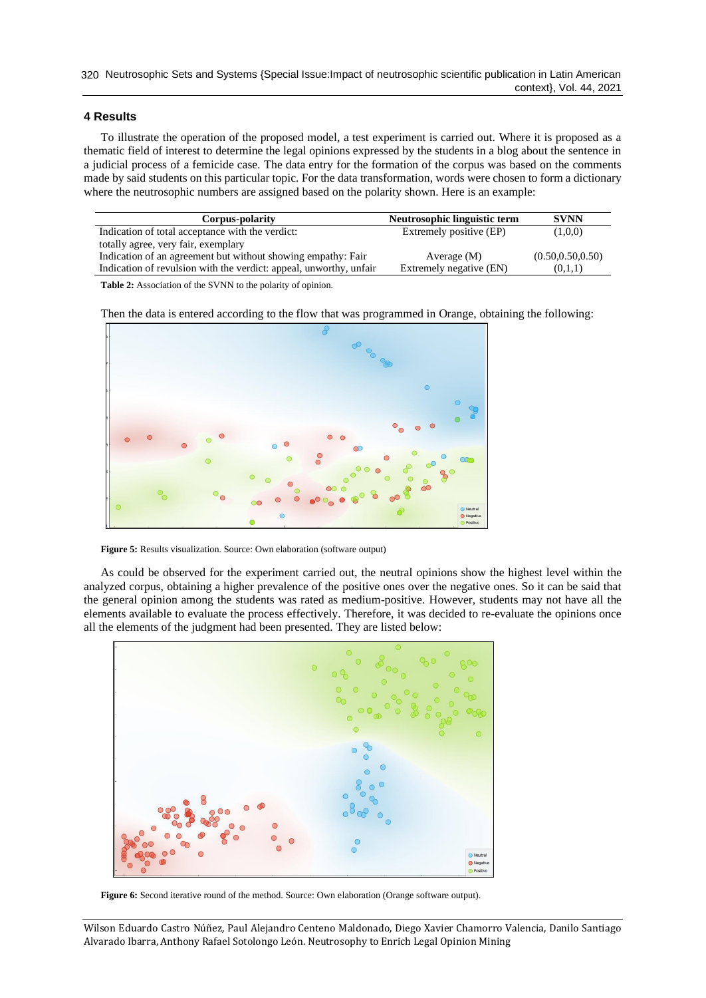## **4 Results**

To illustrate the operation of the proposed model, a test experiment is carried out. Where it is proposed as a thematic field of interest to determine the legal opinions expressed by the students in a blog about the sentence in a judicial process of a femicide case. The data entry for the formation of the corpus was based on the comments made by said students on this particular topic. For the data transformation, words were chosen to form a dictionary where the neutrosophic numbers are assigned based on the polarity shown. Here is an example:

| Corpus-polarity                                                    | Neutrosophic linguistic term | <b>SVNN</b>        |
|--------------------------------------------------------------------|------------------------------|--------------------|
| Indication of total acceptance with the verdict:                   | Extremely positive (EP)      | (1,0,0)            |
| totally agree, very fair, exemplary                                |                              |                    |
| Indication of an agreement but without showing empathy: Fair       | Average $(M)$                | (0.50, 0.50, 0.50) |
| Indication of revulsion with the verdict: appeal, unworthy, unfair | Extremely negative (EN)      | (0,1,1)            |

**Table 2:** Association of the SVNN to the polarity of opinion.

Then the data is entered according to the flow that was programmed in Orange, obtaining the following:



Figure 5: Results visualization. Source: Own elaboration (software output)

As could be observed for the experiment carried out, the neutral opinions show the highest level within the analyzed corpus, obtaining a higher prevalence of the positive ones over the negative ones. So it can be said that the general opinion among the students was rated as medium-positive. However, students may not have all the elements available to evaluate the process effectively. Therefore, it was decided to re-evaluate the opinions once all the elements of the judgment had been presented. They are listed below:



Figure 6: Second iterative round of the method. Source: Own elaboration (Orange software output).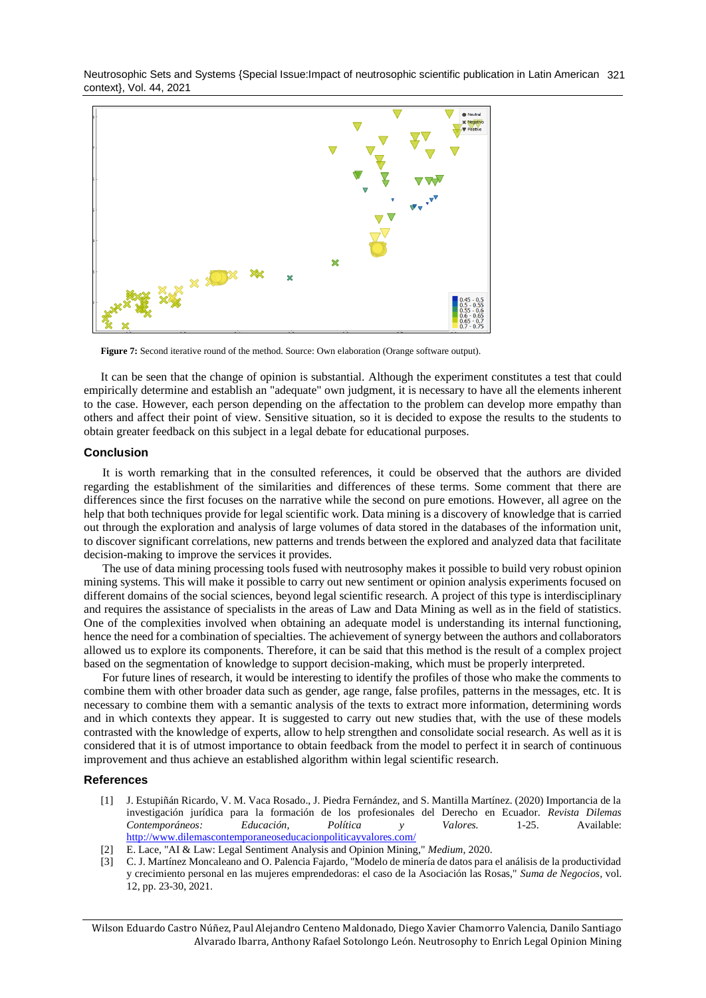Neutrosophic Sets and Systems {Special Issue:Impact of neutrosophic scientific publication in Latin American 321 context}, Vol. 44, 2021



**Figure 7:** Second iterative round of the method. Source: Own elaboration (Orange software output).

It can be seen that the change of opinion is substantial. Although the experiment constitutes a test that could empirically determine and establish an "adequate" own judgment, it is necessary to have all the elements inherent to the case. However, each person depending on the affectation to the problem can develop more empathy than others and affect their point of view. Sensitive situation, so it is decided to expose the results to the students to obtain greater feedback on this subject in a legal debate for educational purposes.

#### **Conclusion**

It is worth remarking that in the consulted references, it could be observed that the authors are divided regarding the establishment of the similarities and differences of these terms. Some comment that there are differences since the first focuses on the narrative while the second on pure emotions. However, all agree on the help that both techniques provide for legal scientific work. Data mining is a discovery of knowledge that is carried out through the exploration and analysis of large volumes of data stored in the databases of the information unit, to discover significant correlations, new patterns and trends between the explored and analyzed data that facilitate decision-making to improve the services it provides.

The use of data mining processing tools fused with neutrosophy makes it possible to build very robust opinion mining systems. This will make it possible to carry out new sentiment or opinion analysis experiments focused on different domains of the social sciences, beyond legal scientific research. A project of this type is interdisciplinary and requires the assistance of specialists in the areas of Law and Data Mining as well as in the field of statistics. One of the complexities involved when obtaining an adequate model is understanding its internal functioning, hence the need for a combination of specialties. The achievement of synergy between the authors and collaborators allowed us to explore its components. Therefore, it can be said that this method is the result of a complex project based on the segmentation of knowledge to support decision-making, which must be properly interpreted.

For future lines of research, it would be interesting to identify the profiles of those who make the comments to combine them with other broader data such as gender, age range, false profiles, patterns in the messages, etc. It is necessary to combine them with a semantic analysis of the texts to extract more information, determining words and in which contexts they appear. It is suggested to carry out new studies that, with the use of these models contrasted with the knowledge of experts, allow to help strengthen and consolidate social research. As well as it is considered that it is of utmost importance to obtain feedback from the model to perfect it in search of continuous improvement and thus achieve an established algorithm within legal scientific research.

#### <span id="page-6-0"></span>**References**

- [1] J. Estupiñán Ricardo, V. M. Vaca Rosado., J. Piedra Fernández, and S. Mantilla Martínez. (2020) Importancia de la investigación jurídica para la formación de los profesionales del Derecho en Ecuador. *Revista Dilemas Contemporáneos: Educación, Política y Valores.* 1-25. Available: <http://www.dilemascontemporaneoseducacionpoliticayvalores.com/>
- <span id="page-6-1"></span>[2] E. Lace, "AI & Law: Legal Sentiment Analysis and Opinion Mining," *Medium,* 2020.
- <span id="page-6-2"></span>[3] C. J. Martínez Moncaleano and O. Palencia Fajardo, "Modelo de minería de datos para el análisis de la productividad y crecimiento personal en las mujeres emprendedoras: el caso de la Asociación las Rosas," *Suma de Negocios,* vol. 12, pp. 23-30, 2021.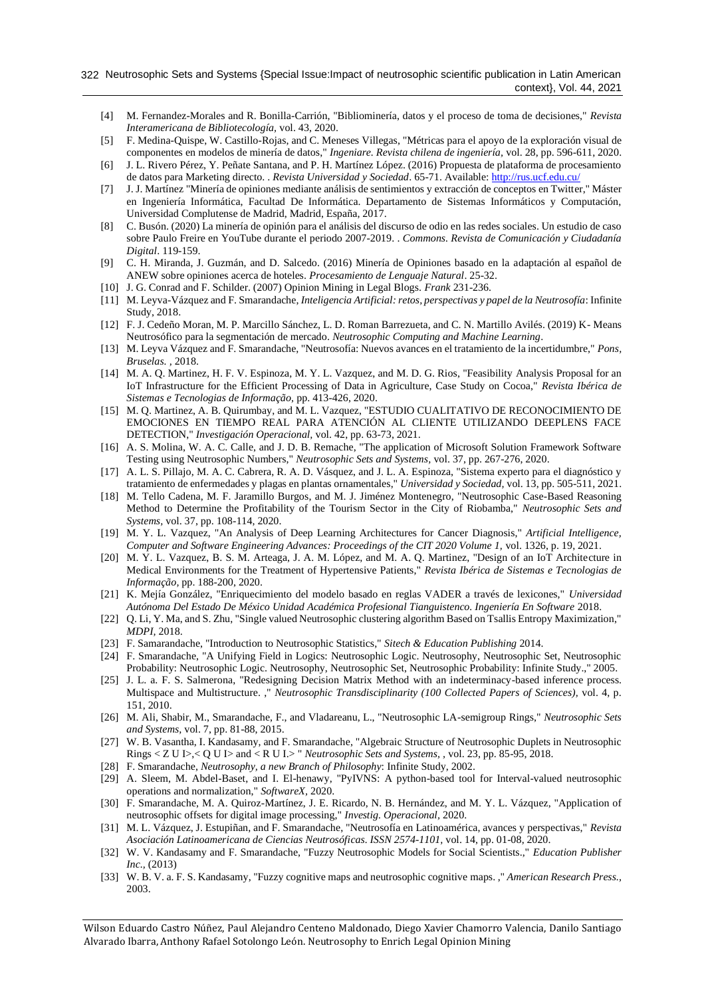- <span id="page-7-0"></span>[4] M. Fernandez-Morales and R. Bonilla-Carrión, "Bibliominería, datos y el proceso de toma de decisiones," *Revista Interamericana de Bibliotecología,* vol. 43, 2020.
- <span id="page-7-5"></span>[5] F. Medina-Quispe, W. Castillo-Rojas, and C. Meneses Villegas, "Métricas para el apoyo de la exploración visual de componentes en modelos de minería de datos," *Ingeniare. Revista chilena de ingeniería,* vol. 28, pp. 596-611, 2020.
- <span id="page-7-1"></span>[6] J. L. Rivero Pérez, Y. Peñate Santana, and P. H. Martínez López. (2016) Propuesta de plataforma de procesamiento de datos para Marketing directo. . *Revista Universidad y Sociedad*. 65-71. Available:<http://rus.ucf.edu.cu/>
- [7] J. J. Martínez "Minería de opiniones mediante análisis de sentimientos y extracción de conceptos en Twitter," Máster en Ingeniería Informática, Facultad De Informática. Departamento de Sistemas Informáticos y Computación, Universidad Complutense de Madrid, Madrid, España, 2017.
- [8] C. Busón. (2020) La minería de opinión para el análisis del discurso de odio en las redes sociales. Un estudio de caso sobre Paulo Freire en YouTube durante el periodo 2007-2019. . *Commons. Revista de Comunicación y Ciudadanía Digital*. 119-159.
- [9] C. H. Miranda, J. Guzmán, and D. Salcedo. (2016) Minería de Opiniones basado en la adaptación al español de ANEW sobre opiniones acerca de hoteles. *Procesamiento de Lenguaje Natural*. 25-32.
- <span id="page-7-2"></span>[10] J. G. Conrad and F. Schilder. (2007) Opinion Mining in Legal Blogs. *Frank* 231-236.
- <span id="page-7-3"></span>[11] M. Leyva-Vázquez and F. Smarandache, *Inteligencia Artificial: retos, perspectivas y papel de la Neutrosofía*: Infinite Study, 2018.
- <span id="page-7-15"></span>[12] F. J. Cedeño Moran, M. P. Marcillo Sánchez, L. D. Roman Barrezueta, and C. N. Martillo Avilés. (2019) K- Means Neutrosófico para la segmentación de mercado. *Neutrosophic Computing and Machine Learning*.
- <span id="page-7-6"></span>[13] M. Leyva Vázquez and F. Smarandache, "Neutrosofía: Nuevos avances en el tratamiento de la incertidumbre," *Pons, Bruselas. ,* 2018.
- <span id="page-7-13"></span>[14] M. A. Q. Martinez, H. F. V. Espinoza, M. Y. L. Vazquez, and M. D. G. Rios, "Feasibility Analysis Proposal for an IoT Infrastructure for the Efficient Processing of Data in Agriculture, Case Study on Cocoa," *Revista Ibérica de Sistemas e Tecnologias de Informação,* pp. 413-426, 2020.
- [15] M. Q. Martinez, A. B. Quirumbay, and M. L. Vazquez, "ESTUDIO CUALITATIVO DE RECONOCIMIENTO DE EMOCIONES EN TIEMPO REAL PARA ATENCIÓN AL CLIENTE UTILIZANDO DEEPLENS FACE DETECTION," *Investigación Operacional,* vol. 42, pp. 63-73, 2021.
- [16] A. S. Molina, W. A. C. Calle, and J. D. B. Remache, "The application of Microsoft Solution Framework Software Testing using Neutrosophic Numbers," *Neutrosophic Sets and Systems,* vol. 37, pp. 267-276, 2020.
- [17] A. L. S. Pillajo, M. A. C. Cabrera, R. A. D. Vásquez, and J. L. A. Espinoza, "Sistema experto para el diagnóstico y tratamiento de enfermedades y plagas en plantas ornamentales," *Universidad y Sociedad,* vol. 13, pp. 505-511, 2021.
- [18] M. Tello Cadena, M. F. Jaramillo Burgos, and M. J. Jiménez Montenegro, "Neutrosophic Case-Based Reasoning Method to Determine the Profitability of the Tourism Sector in the City of Riobamba," *Neutrosophic Sets and Systems,* vol. 37, pp. 108-114, 2020.
- [19] M. Y. L. Vazquez, "An Analysis of Deep Learning Architectures for Cancer Diagnosis," *Artificial Intelligence, Computer and Software Engineering Advances: Proceedings of the CIT 2020 Volume 1,* vol. 1326, p. 19, 2021.
- [20] M. Y. L. Vazquez, B. S. M. Arteaga, J. A. M. López, and M. A. Q. Martinez, "Design of an IoT Architecture in Medical Environments for the Treatment of Hypertensive Patients," *Revista Ibérica de Sistemas e Tecnologias de Informação,* pp. 188-200, 2020.
- <span id="page-7-4"></span>[21] K. Mejía González, "Enriquecimiento del modelo basado en reglas VADER a través de lexicones," *Universidad Autónoma Del Estado De México Unidad Académica Profesional Tianguistenco. Ingeniería En Software* 2018.
- <span id="page-7-7"></span>[22] Q. Li, Y. Ma, and S. Zhu, "Single valued Neutrosophic clustering algorithm Based on Tsallis Entropy Maximization," *MDPI,* 2018.
- <span id="page-7-8"></span>[23] F. Samarandache, "Introduction to Neutrosophic Statistics," *Sitech & Education Publishing* 2014.
- [24] F. Smarandache, "A Unifying Field in Logics: Neutrosophic Logic. Neutrosophy, Neutrosophic Set, Neutrosophic Probability: Neutrosophic Logic. Neutrosophy, Neutrosophic Set, Neutrosophic Probability: Infinite Study.," 2005.
- [25] J. L. a. F. S. Salmerona, "Redesigning Decision Matrix Method with an indeterminacy-based inference process. Multispace and Multistructure. ," *Neutrosophic Transdisciplinarity (100 Collected Papers of Sciences),* vol. 4, p. 151, 2010.
- [26] M. Ali, Shabir, M., Smarandache, F., and Vladareanu, L., "Neutrosophic LA-semigroup Rings," *Neutrosophic Sets and Systems,* vol. 7, pp. 81-88, 2015.
- <span id="page-7-9"></span>[27] W. B. Vasantha, I. Kandasamy, and F. Smarandache, "Algebraic Structure of Neutrosophic Duplets in Neutrosophic Rings < Z U I>,< Q U I> and < R U I.> " *Neutrosophic Sets and Systems, ,* vol. 23, pp. 85-95, 2018.
- [28] F. Smarandache, *Neutrosophy, a new Branch of Philosophy*: Infinite Study, 2002.
- <span id="page-7-10"></span>[29] A. Sleem, M. Abdel-Baset, and I. El-henawy, "PyIVNS: A python-based tool for Interval-valued neutrosophic operations and normalization," *SoftwareX,* 2020.
- <span id="page-7-14"></span>[30] F. Smarandache, M. A. Quiroz-Martínez, J. E. Ricardo, N. B. Hernández, and M. Y. L. Vázquez, "Application of neutrosophic offsets for digital image processing," *Investig. Operacional,* 2020.
- [31] M. L. Vázquez, J. Estupiñan, and F. Smarandache, "Neutrosofía en Latinoamérica, avances y perspectivas," *Revista Asociación Latinoamericana de Ciencias Neutrosóficas. ISSN 2574-1101,* vol. 14, pp. 01-08, 2020.
- <span id="page-7-11"></span>[32] W. V. Kandasamy and F. Smarandache, "Fuzzy Neutrosophic Models for Social Scientists.," *Education Publisher Inc.,* (2013)
- <span id="page-7-12"></span>[33] W. B. V. a. F. S. Kandasamy, "Fuzzy cognitive maps and neutrosophic cognitive maps. ," *American Research Press.,*  2003.